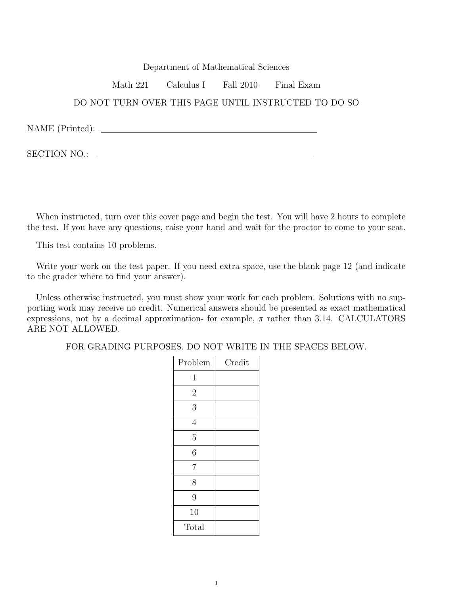## Department of Mathematical Sciences

Math 221 Calculus I Fall 2010 Final Exam

## DO NOT TURN OVER THIS PAGE UNTIL INSTRUCTED TO DO SO

NAME (Printed):

SECTION NO.:

When instructed, turn over this cover page and begin the test. You will have 2 hours to complete the test. If you have any questions, raise your hand and wait for the proctor to come to your seat.

This test contains 10 problems.

Write your work on the test paper. If you need extra space, use the blank page 12 (and indicate to the grader where to find your answer).

Unless otherwise instructed, you must show your work for each problem. Solutions with no supporting work may receive no credit. Numerical answers should be presented as exact mathematical expressions, not by a decimal approximation- for example,  $\pi$  rather than 3.14. CALCULATORS ARE NOT ALLOWED.

FOR GRADING PURPOSES. DO NOT WRITE IN THE SPACES BELOW.

| Problem        | Credit |
|----------------|--------|
| $\mathbf 1$    |        |
| $\overline{2}$ |        |
| 3              |        |
| $\overline{4}$ |        |
| $\overline{5}$ |        |
| 6              |        |
| $\overline{7}$ |        |
| 8              |        |
| 9              |        |
| 10             |        |
| Total          |        |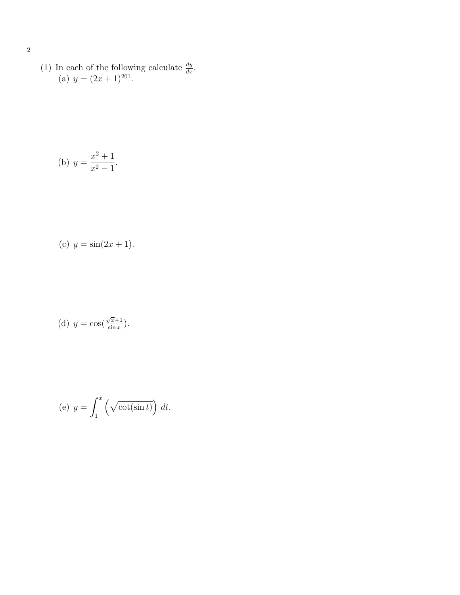(1) In each of the following calculate  $\frac{dy}{dx}$ . (a)  $y = (2x+1)^{201}$ .

(b) 
$$
y = \frac{x^2 + 1}{x^2 - 1}
$$
.

(c) 
$$
y = \sin(2x + 1)
$$
.

(d) 
$$
y = \cos(\frac{\sqrt{x}+1}{\sin x}).
$$

(e) 
$$
y = \int_1^x \left(\sqrt{\cot(\sin t)}\right) dt
$$
.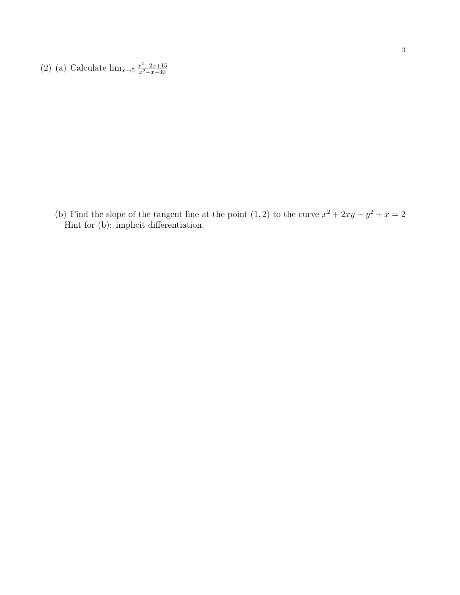(2) (a) Calculate  $\lim_{x \to 5} \frac{x^2 - 2x + 15}{x^2 + x - 30}$ 

(b) Find the slope of the tangent line at the point  $(1, 2)$  to the curve  $x^2 + 2xy - y^2 + x = 2$ Hint for (b): implicit differentiation.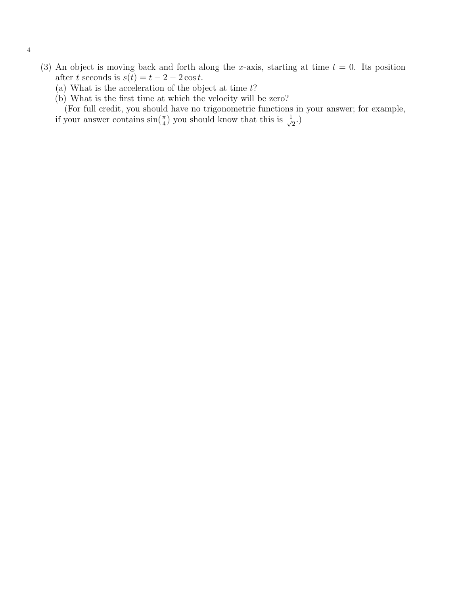- (3) An object is moving back and forth along the x-axis, starting at time  $t = 0$ . Its position after t seconds is  $s(t) = t - 2 - 2\cos t$ .
	- (a) What is the acceleration of the object at time  $t$ ?
	- (b) What is the first time at which the velocity will be zero?

(For full credit, you should have no trigonometric functions in your answer; for example, if your answer contains  $\sin(\frac{\pi}{4})$  you should know that this is  $\frac{1}{\sqrt{2}}$ .)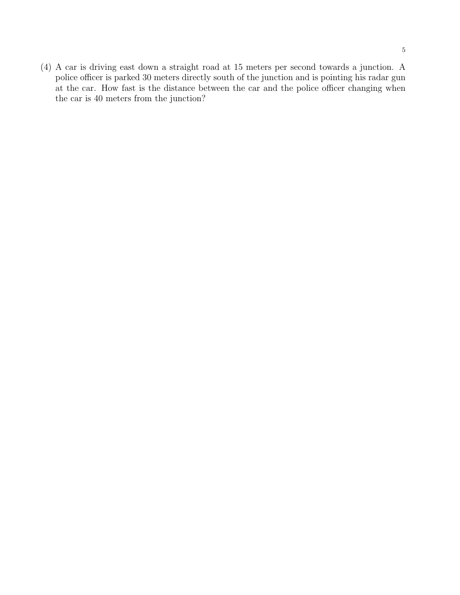5

(4) A car is driving east down a straight road at 15 meters per second towards a junction. A police officer is parked 30 meters directly south of the junction and is pointing his radar gun at the car. How fast is the distance between the car and the police officer changing when the car is 40 meters from the junction?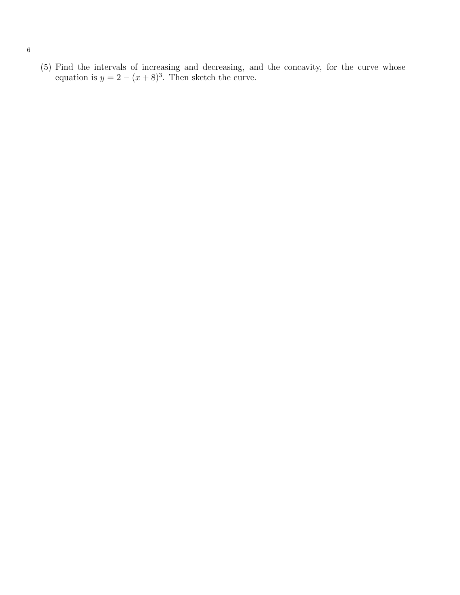(5) Find the intervals of increasing and decreasing, and the concavity, for the curve whose equation is  $y = 2 - (x + 8)^3$ . Then sketch the curve.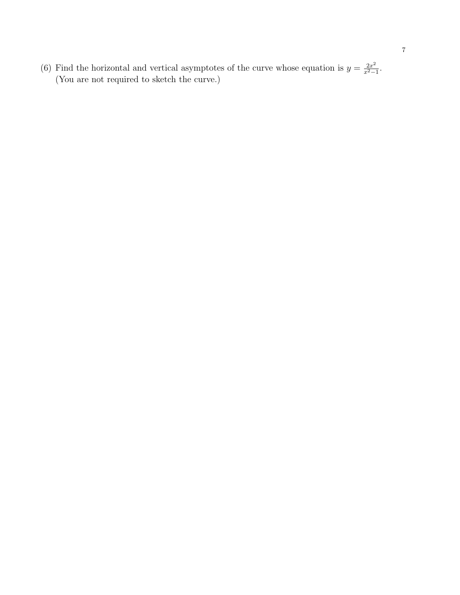(6) Find the horizontal and vertical asymptotes of the curve whose equation is  $y = \frac{2x^2}{x^2-1}$ . (You are not required to sketch the curve.)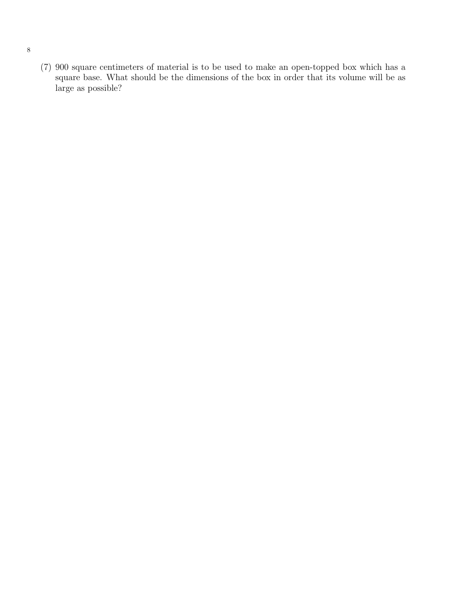(7) 900 square centimeters of material is to be used to make an open-topped box which has a square base. What should be the dimensions of the box in order that its volume will be as large as possible?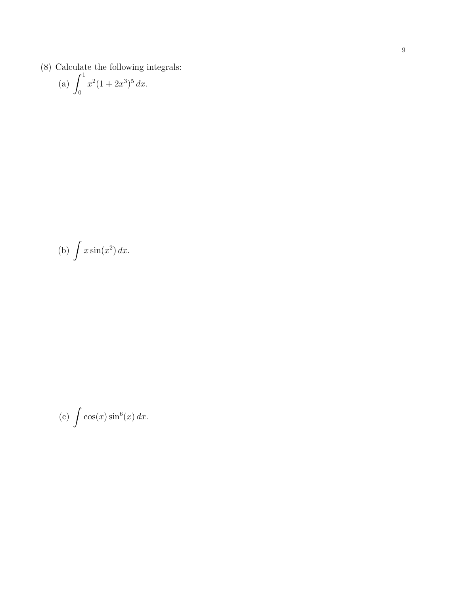(8) Calculate the following integrals:

(a) 
$$
\int_0^1 x^2 (1 + 2x^3)^5 dx.
$$

(b) 
$$
\int x \sin(x^2) dx.
$$

(c) 
$$
\int \cos(x) \sin^6(x) dx.
$$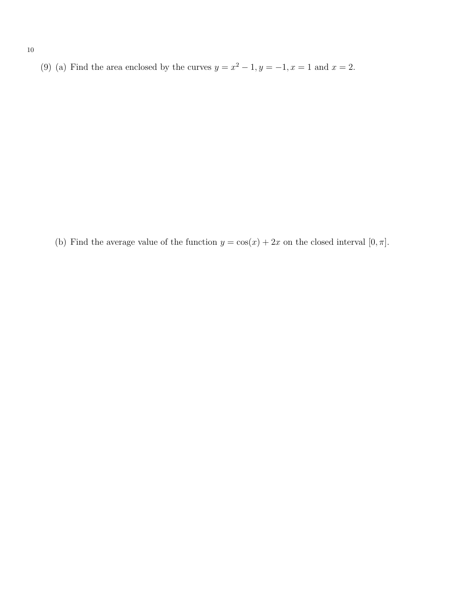(9) (a) Find the area enclosed by the curves  $y = x^2 - 1$ ,  $y = -1$ ,  $x = 1$  and  $x = 2$ .

(b) Find the average value of the function  $y = cos(x) + 2x$  on the closed interval  $[0, \pi]$ .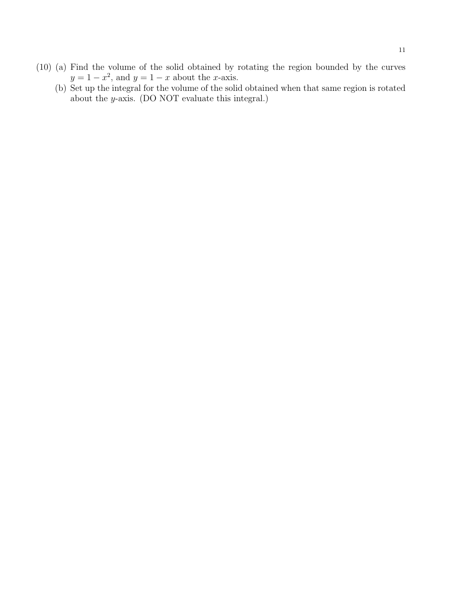- (10) (a) Find the volume of the solid obtained by rotating the region bounded by the curves  $y = 1 - x^2$ , and  $y = 1 - x$  about the x-axis.
	- (b) Set up the integral for the volume of the solid obtained when that same region is rotated about the y-axis. (DO NOT evaluate this integral.)